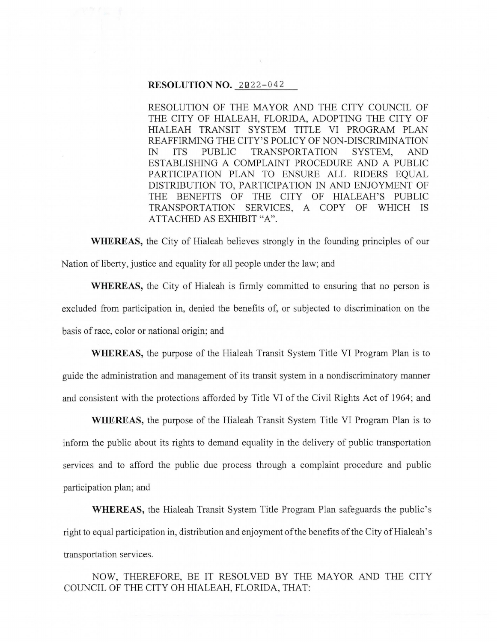## **RESOLUTION NO. 2022-042**

RESOLUTION OF THE MAYOR AND THE CITY COUNCIL OF THE CITY OF HIALEAH, FLORIDA, ADOPTING THE CITY OF HIALEAH TRANSIT SYSTEM TITLE VI PROGRAM PLAN REAFFIRMING THE CITY'S POLICY OF NON-DISCRIMINATION IN ITS PUBLIC TRANSPORTATION SYSTEM, AND ESTABLISHING A COMPLAINT PROCEDURE AND A PUBLIC PARTICIPATION PLAN TO ENSURE ALL RIDERS EQUAL DISTRIBUTION TO, PARTICIPATION IN AND ENJOYMENT OF THE BENEFITS OF THE CITY OF HIALEAH'S PUBLIC TRANSPORTATION SERVICES, A COPY OF WHICH IS ATTACHED AS EXHIBIT "A".

**WHEREAS,** the City of Hialeah believes strongly in the founding principles of our Nation of liberty, justice and equality for all people under the law; and

**WHEREAS,** the City of Hialeah is firmly committed to ensuring that no person is excluded from participation in, denied the benefits of, or subjected to discrimination on the basis of race, color or national origin; and

**WHEREAS,** the purpose of the Hialeah Transit System Title VI Program Plan is to guide the administration and management of its transit system in a nondiscriminatory manner and consistent with the protections afforded by Title VI of the Civil Rights Act of 1964; and

**WHEREAS,** the purpose of the Hialeah Transit System Title VI Program Plan is to inform the public about its rights to demand equality in the delivery of public transportation services and to afford the public due process through a complaint procedure and public participation plan; and

**WHEREAS,** the Hialeah Transit System Title Program Plan safeguards the public's right to equal participation in, distribution and enjoyment of the benefits of the City of Hialeah's transportation services.

NOW, THEREFORE, BE IT RESOLVED BY THE MAYOR AND THE CITY COUNCIL OF THE CITY OH HIALEAH, FLORIDA, THAT: